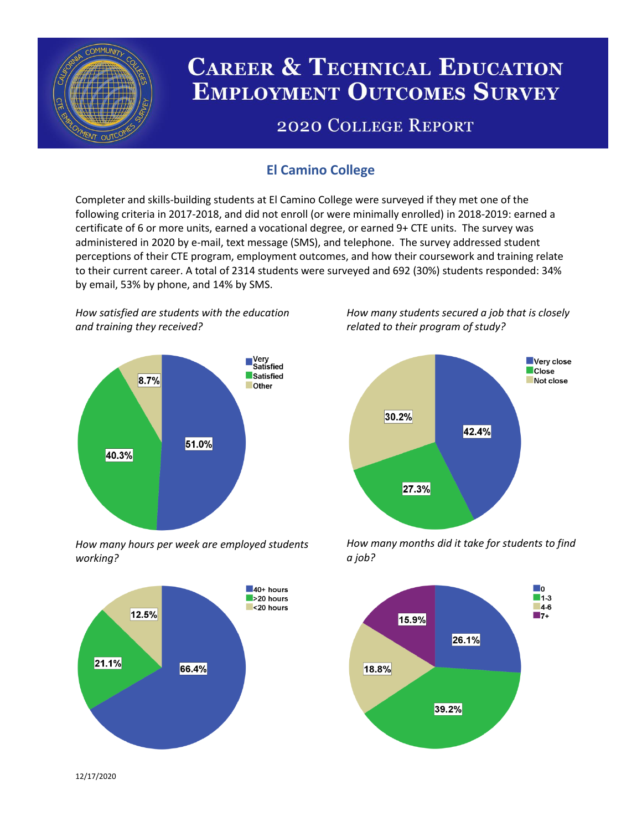

# **CAREER & TECHNICAL EDUCATION EMPLOYMENT OUTCOMES SURVEY**

## **2020 COLLEGE REPORT**

## **El Camino College**

Completer and skills-building students at El Camino College were surveyed if they met one of the following criteria in 2017-2018, and did not enroll (or were minimally enrolled) in 2018-2019: earned a certificate of 6 or more units, earned a vocational degree, or earned 9+ CTE units. The survey was administered in 2020 by e-mail, text message (SMS), and telephone. The survey addressed student perceptions of their CTE program, employment outcomes, and how their coursework and training relate to their current career. A total of 2314 students were surveyed and 692 (30%) students responded: 34% by email, 53% by phone, and 14% by SMS.

*How satisfied are students with the education and training they received?*



*How many hours per week are employed students working?*



*How many students secured a job that is closely related to their program of study?*



*How many months did it take for students to find a job?*



12/17/2020